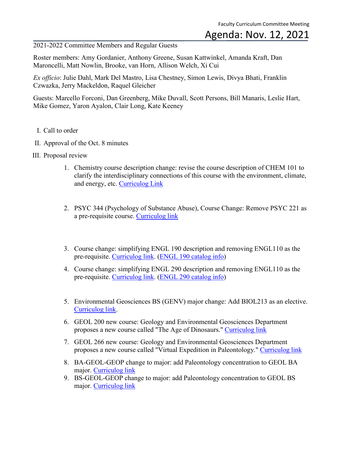## Agenda: Nov. 12, 2021

2021-2022 Committee Members and Regular Guests

Roster members: Amy Gordanier, Anthony Greene, Susan Kattwinkel, Amanda Kraft, Dan Maroncelli, Matt Nowlin, Brooke, van Horn, Allison Welch, Xi Cui

*Ex officio*: Julie Dahl, Mark Del Mastro, Lisa Chestney, Simon Lewis, Divya Bhati, Franklin Czwazka, Jerry Mackeldon, Raquel Gleicher

Guests: Marcello Forconi, Dan Greenberg, Mike Duvall, Scott Persons, Bill Manaris, Leslie Hart, Mike Gomez, Yaron Ayalon, Clair Long, Kate Keeney

- I. Call to order
- II. Approval of the Oct. 8 minutes
- III. Proposal review
	- 1. Chemistry course description change: revise the course description of CHEM 101 to clarify the interdisciplinary connections of this course with the environment, climate, and energy, etc. [Curriculog Link](https://cofc.curriculog.com/proposal:3453/form)
	- 2. PSYC 344 (Psychology of Substance Abuse), Course Change: Remove PSYC 221 as a pre-requisite course. [Curriculog link](https://cofc.curriculog.com/proposal:3467/form)
	- 3. Course change: simplifying ENGL 190 description and removing ENGL110 as the pre-requisite. [Curriculog link.](https://cofc.curriculog.com/proposal:3481/form) [\(ENGL 190 catalog info\)](https://catalog.cofc.edu/preview_program.php?catoid=20&poid=4235&hl=%22engl+190%22&returnto=search)
	- 4. Course change: simplifying ENGL 290 description and removing ENGL110 as the pre-requisite. [Curriculog link.](https://cofc.curriculog.com/proposal:3526/form) [\(ENGL 290 catalog info\)](https://catalog.cofc.edu/search_advanced.php?cur_cat_oid=20&search_database=Search&search_db=Search&cpage=1&ecpage=1&ppage=1&spage=1&tpage=1&location=33&filter%5Bkeyword%5D=ENGL+290&filter%5Bexact_match%5D=1)
	- 5. Environmental Geosciences BS (GENV) major change: Add BIOL213 as an elective. [Curriculog link.](https://cofc.curriculog.com/proposal:3482/form)
	- 6. GEOL 200 new course: Geology and Environmental Geosciences Department proposes a new course called "The Age of Dinosaurs." [Curriculog link](https://cofc.curriculog.com/proposal:3483/form)
	- 7. GEOL 266 new course: Geology and Environmental Geosciences Department proposes a new course called "Virtual Expedition in Paleontology." [Curriculog link](https://cofc.curriculog.com/proposal:3484/form)
	- 8. BA-GEOL-GEOP change to major: add Paleontology concentration to GEOL BA major. [Curriculog link](https://cofc.curriculog.com/proposal:3525/form)
	- 9. BS-GEOL-GEOP change to major: add Paleontology concentration to GEOL BS major. [Curriculog link](https://cofc.curriculog.com/proposal:3527/form)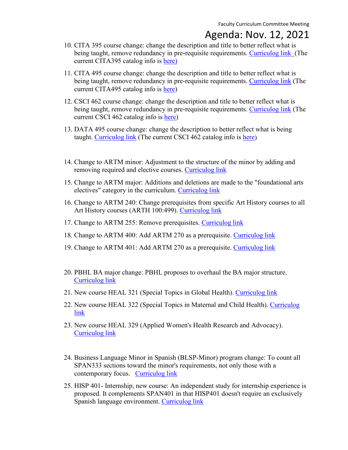## Agenda: Nov. 12, 2021

- 10. CITA 395 course change: change the description and title to better reflect what is being taught, remove redundancy in pre-requisite requirements. [Curriculog link](https://cofc.curriculog.com/proposal:3520/form) (The current CITA395 catalog info is [here\)](https://catalog.cofc.edu/search_advanced.php?cur_cat_oid=20&ecpage=1&cpage=1&ppage=1&pcpage=1&spage=1&tpage=1&search_database=Search&filter%5Bkeyword%5D=CITA+395&filter%5Bexact_match%5D=1&filter%5B3%5D=1&filter%5B31%5D=1&filter%5B1%5D=1&filter%5B28%5D=1&filter%5B30%5D=1)
- 11. CITA 495 course change: change the description and title to better reflect what is being taught, remove redundancy in pre-requisite requirements. [Curriculog link](https://cofc.curriculog.com/proposal:3523/form) (The current CITA495 catalog info is [here\)](https://catalog.cofc.edu/search_advanced.php?cur_cat_oid=20&ecpage=1&cpage=1&ppage=1&pcpage=1&spage=1&tpage=1&search_database=Search&filter%5Bkeyword%5D=CITA+495&filter%5Bexact_match%5D=1&filter%5B3%5D=1&filter%5B31%5D=1&filter%5B1%5D=1&filter%5B28%5D=1&filter%5B30%5D=1)
- 12. CSCI 462 course change: change the description and title to better reflect what is being taught, remove redundancy in pre-requisite requirements. [Curriculog link](https://cofc.curriculog.com/proposal:3521/form) (The current CSCI 462 catalog info is [here\)](https://catalog.cofc.edu/search_advanced.php?cur_cat_oid=20&ecpage=1&cpage=1&ppage=1&pcpage=1&spage=1&tpage=1&search_database=Search&filter%5Bkeyword%5D=CSCI+462&filter%5Bexact_match%5D=1&filter%5B3%5D=1&filter%5B31%5D=1&filter%5B1%5D=1&filter%5B28%5D=1&filter%5B30%5D=1)
- 13. DATA 495 course change: change the description to better reflect what is being taught. [Curriculog link](https://cofc.curriculog.com/proposal:3524/form) (The current CSCI 462 catalog info is [here\)](https://catalog.cofc.edu/search_advanced.php?cur_cat_oid=20&ecpage=1&cpage=1&ppage=1&pcpage=1&spage=1&tpage=1&search_database=Search&filter%5Bkeyword%5D=data+495&filter%5Bexact_match%5D=1&filter%5B3%5D=1&filter%5B31%5D=1&filter%5B1%5D=1&filter%5B28%5D=1&filter%5B30%5D=1)
- 14. Change to ARTM minor: Adjustment to the structure of the minor by adding and removing required and elective courses. [Curriculog link](https://cofc.curriculog.com/proposal:3558/form)
- 15. Change to ARTM major: Additions and deletions are made to the "foundational arts electives" category in the curriculum. [Curriculog link](https://cofc.curriculog.com/proposal:3562/form)
- 16. Change to ARTM 240: Change prerequisites from specific Art History courses to all Art History courses (ARTH 100:499). [Curriculog link](https://cofc.curriculog.com/proposal:3576/form)
- 17. Change to ARTM 255: Remove prerequisites. [Curriculog link](https://cofc.curriculog.com/proposal:3579/form)
- 18. Change to ARTM 400: Add ARTM 270 as a prerequisite. [Curriculog link](https://cofc.curriculog.com/proposal:3577/form)
- 19. Change to ARTM 401: Add ARTM 270 as a prerequisite. [Curriculog link](https://cofc.curriculog.com/proposal:3578/form)
- 20. PBHL BA major change: PBHL proposes to overhaul the BA major structure. [Curriculog link](https://cofc.curriculog.com/proposal:3438/form)
- 21. New course HEAL 321 (Special Topics in Global Health). [Curriculog link](https://cofc.curriculog.com/proposal:3456/form)
- 22. New course HEAL 322 (Special Topics in Maternal and Child Health). Curriculog [link](https://cofc.curriculog.com/proposal:3461/form)
- 23. New course HEAL 329 (Applied Women's Health Research and Advocacy). [Curriculog link](https://cofc.curriculog.com/proposal:3455/form)
- 24. Business Language Minor in Spanish (BLSP-Minor) program change: To count all SPAN333 sections toward the minor's requirements, not only those with a contemporary focus. [Curriculog link](https://cofc.curriculog.com/proposal:3550/form)
- 25. HISP 401- Internship, new course: An independent study for internship experience is proposed. It complements SPAN401 in that HISP401 doesn't require an exclusively Spanish language environment. [Curriculog link](https://cofc.curriculog.com/proposal:3538/form)